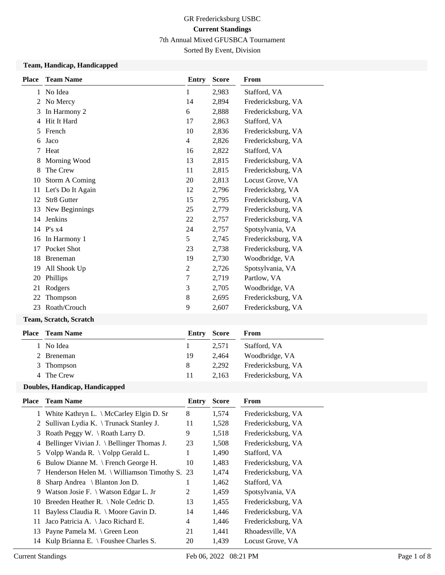## GR Fredericksburg USBC **Current Standings** 7th Annual Mixed GFUSBCA Tournament

## Sorted By Event, Division

#### **Team, Handicap, Handicapped**

| <b>Place</b> | <b>Team Name</b>  | Entry          | <b>Score</b> | From               |
|--------------|-------------------|----------------|--------------|--------------------|
| 1            | No Idea           | 1              | 2,983        | Stafford, VA       |
| 2            | No Mercy          | 14             | 2,894        | Fredericksburg, VA |
| 3            | In Harmony 2      | 6              | 2,888        | Fredericksburg, VA |
| 4            | Hit It Hard       | 17             | 2,863        | Stafford, VA       |
| 5            | French            | 10             | 2,836        | Fredericksburg, VA |
| 6            | Jaco              | $\overline{4}$ | 2,826        | Fredericksburg, VA |
| 7            | Heat              | 16             | 2,822        | Stafford, VA       |
| 8            | Morning Wood      | 13             | 2,815        | Fredericksburg, VA |
| 8            | The Crew          | 11             | 2,815        | Fredericksburg, VA |
| 10           | Storm A Coming    | 20             | 2,813        | Locust Grove, VA   |
| 11           | Let's Do It Again | 12             | 2,796        | Fredericksbrg, VA  |
| 12           | Str8 Gutter       | 15             | 2,795        | Fredericksburg, VA |
| 13           | New Beginnings    | 25             | 2,779        | Fredericksburg, VA |
| 14           | <b>Jenkins</b>    | 22             | 2,757        | Fredericksburg, VA |
|              | 14 P's x4         | 24             | 2,757        | Spotsylvania, VA   |
| 16           | In Harmony 1      | 5              | 2,745        | Fredericksburg, VA |
| 17           | Pocket Shot       | 23             | 2,738        | Fredericksburg, VA |
| 18           | <b>Breneman</b>   | 19             | 2,730        | Woodbridge, VA     |
| 19           | All Shook Up      | $\overline{2}$ | 2,726        | Spotsylvania, VA   |
| 20           | Phillips          | 7              | 2,719        | Partlow, VA        |
| 21           | Rodgers           | 3              | 2,705        | Woodbridge, VA     |
| 22           | Thompson          | 8              | 2,695        | Fredericksburg, VA |
| 23           | Roath/Crouch      | 9              | 2,607        | Fredericksburg, VA |
|              |                   |                |              |                    |

### **Team, Scratch, Scratch**

| Place | <b>Team Name</b> | Entry | Score | From               |
|-------|------------------|-------|-------|--------------------|
|       | 1 No Idea        |       | 2.571 | Stafford, VA       |
|       | 2 Breneman       | 19    | 2.464 | Woodbridge, VA     |
|       | 3 Thompson       | 8     | 2.292 | Fredericksburg, VA |
|       | 4 The Crew       | 11    | 2.163 | Fredericksburg, VA |
|       |                  |       |       |                    |

#### **Doubles, Handicap, Handicapped**

| Place | <b>Team Name</b>                                     | Entry | <b>Score</b> | From               |
|-------|------------------------------------------------------|-------|--------------|--------------------|
|       | 1 White Kathryn L. \ McCarley Elgin D. Sr            | 8     | 1,574        | Fredericksburg, VA |
|       | 2 Sullivan Lydia K. \Trunack Stanley J.              | 11    | 1,528        | Fredericksburg, VA |
| 3     | Roath Peggy W. $\backslash$ Roath Larry D.           | 9     | 1,518        | Fredericksburg, VA |
| 4     | Bellinger Vivian J. \ Bellinger Thomas J.            | 23    | 1,508        | Fredericksburg, VA |
|       | 5 Volpp Wanda R. \ Volpp Gerald L.                   | 1     | 1,490        | Stafford, VA       |
| 6     | Bulow Dianne M. \ French George H.                   | 10    | 1,483        | Fredericksburg, VA |
| 7     | Henderson Helen M. $\setminus$ Williamson Timothy S. | -23   | 1,474        | Fredericksburg, VA |
| 8     | Sharp Andrea $\setminus$ Blanton Jon D.              |       | 1,462        | Stafford, VA       |
| 9     | Watson Josie F. \ Watson Edgar L. Jr                 | 2     | 1,459        | Spotsylvania, VA   |
| 10    | Breeden Heather R. \ Nole Cedric D.                  | 13    | 1,455        | Fredericksburg, VA |
| 11    | Bayless Claudia R. \ Moore Gavin D.                  | 14    | 1,446        | Fredericksburg, VA |
| 11    | Jaco Patricia A. $\setminus$ Jaco Richard E.         | 4     | 1,446        | Fredericksburg, VA |
| 13    | Payne Pamela M. \ Green Leon                         | 21    | 1,441        | Rhoadesville, VA   |
| 14    | Kulp Brianna E. $\backslash$ Foushee Charles S.      | 20    | 1,439        | Locust Grove, VA   |
|       |                                                      |       |              |                    |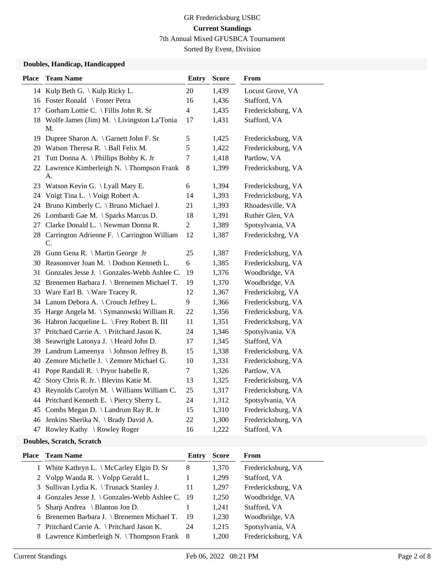## GR Fredericksburg USBC **Current Standings** 7th Annual Mixed GFUSBCA Tournament

Sorted By Event, Division

#### **Doubles, Handicap, Handicapped**

| <b>Place</b> | <b>Team Name</b>                                     | <b>Entry</b>   | <b>Score</b> | From               |
|--------------|------------------------------------------------------|----------------|--------------|--------------------|
|              | 14 Kulp Beth G. \ Kulp Ricky L.                      | 20             | 1,439        | Locust Grove, VA   |
|              | 16 Foster Ronald \ Foster Petra                      | 16             | 1,436        | Stafford, VA       |
|              | 17 Gorham Lottie C. \ Fillis John R. Sr              | $\overline{4}$ | 1,435        | Fredericksburg, VA |
| 18           | Wolfe James (Jim) M. \ Livingston La'Tonia<br>M.     | 17             | 1,431        | Stafford, VA       |
| 19           | Dupree Sharon A. \ Garnett John F. Sr                | $\mathfrak{S}$ | 1,425        | Fredericksburg, VA |
| 20           | Watson Theresa R. $\vert$ Ball Felix M.              | 5              | 1,422        | Fredericksburg, VA |
| 21           | Tutt Donna A. \ Phillips Bobby K. Jr                 | $\overline{7}$ | 1,418        | Partlow, VA        |
|              | 22 Lawrence Kimberleigh N. \Thompson Frank<br>A.     | 8              | 1,399        | Fredericksburg, VA |
| 23           | Watson Kevin G. \Lyall Mary E.                       | 6              | 1,394        | Fredericksburg, VA |
| 24           | Voigt Tina L. \ Voigt Robert A.                      | 14             | 1,393        | Fredericksburg, VA |
| 24           | Bruno Kimberly C. \ Bruno Michael J.                 | 21             | 1,393        | Rhoadesville, VA   |
|              | 26 Lombardi Gae M. \ Sparks Marcus D.                | 18             | 1,391        | Ruther Glen, VA    |
| 27           | Clarke Donald L. \ Newman Donna R.                   | $\overline{2}$ | 1,389        | Spotsylvania, VA   |
|              | 28 Carrington Adrienne F. \ Carrington William<br>C. | 12             | 1,387        | Fredericksbrg, VA  |
|              | 28 Gunn Gena R. \ Martin George Jr                   | 25             | 1,387        | Fredericksburg, VA |
|              | 30 Reasonover Joan M. \Dodson Kenneth L.             | 6              | 1,385        | Fredericksburg, VA |
| 31           | Gonzales Jesse J. \ Gonzales-Webb Ashlee C.          | 19             | 1,376        | Woodbridge, VA     |
| 32           | Brenemen Barbara J. \ Brenemen Michael T.            | 19             | 1,370        | Woodbridge, VA     |
|              | 33 Ware Earl B. \ Ware Tracey R.                     | 12             | 1,367        | Fredericksbrg, VA  |
|              | 34 Lanum Debora A. \ Crouch Jeffrey L.               | 9              | 1,366        | Fredericksburg, VA |
| 35           | Harge Angela M. \ Symanowski William R.              | 22             | 1,356        | Fredericksburg, VA |
| 36           | Habron Jacqueline L. \ Frey Robert B. III            | 11             | 1,351        | Fredericksburg, VA |
| 37           | Pritchard Carrie A. \ Pritchard Jason K.             | 24             | 1,346        | Spotsylvania, VA   |
| 38           | Seawright Latonya J. \ Heard John D.                 | 17             | 1,345        | Stafford, VA       |
| 39           | Landrum Lameenya \ Johnson Jeffrey B.                | 15             | 1,338        | Fredericksburg, VA |
| 40           | Zemore Michelle J. \ Zemore Michael G.               | 10             | 1,331        | Fredericksburg, VA |
| 41           | Pope Randall R. \ Pryor Isabelle R.                  | $\tau$         | 1,326        | Partlow, VA        |
| 42           | Story Chris R. Jr. \ Blevins Katie M.                | 13             | 1,325        | Fredericksburg, VA |
| 43           | Reynolds Carolyn M. \ Williams William C.            | 25             | 1,317        | Fredericksburg, VA |
|              | 44 Pritchard Kenneth E. \ Piercy Sherry L.           | 24             | 1,312        | Spotsylvania, VA   |
| 45           | Combs Megan D. \ Landrum Ray R. Jr                   | 15             | 1,310        | Fredericksburg, VA |
| 46           | Jenkins Sherika N. \ Brady David A.                  | 22             | 1,300        | Fredericksburg, VA |
|              | 47 Rowley Kathy \ Rowley Roger                       | 16             | 1,222        | Stafford, VA       |

#### **Doubles, Scratch, Scratch**

| Place Team Name                                  | Entry | <b>Score</b> | From               |
|--------------------------------------------------|-------|--------------|--------------------|
| 1 White Kathryn L. \ McCarley Elgin D. Sr        | 8     | 1,370        | Fredericksburg, VA |
| 2 Volpp Wanda R. \ Volpp Gerald L.               |       | 1,299        | Stafford, VA       |
| 3 Sullivan Lydia K. \Trunack Stanley J.          | 11    | 1,297        | Fredericksburg, VA |
| 4 Gonzales Jesse J. \ Gonzales-Webb Ashlee C. 19 |       | 1,250        | Woodbridge, VA     |
| 5 Sharp Andrea \ Blanton Jon D.                  |       | 1,241        | Stafford, VA       |
| 6 Brenemen Barbara J. \ Brenemen Michael T.      | 19    | 1,230        | Woodbridge, VA     |
| 7 Pritchard Carrie A. \ Pritchard Jason K.       | 24    | 1,215        | Spotsylvania, VA   |
| 8 Lawrence Kimberleigh N. \Thompson Frank 8      |       | 1,200        | Fredericksburg, VA |

A.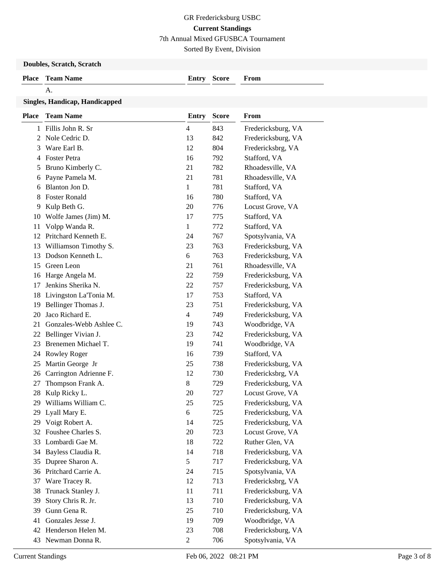7th Annual Mixed GFUSBCA Tournament

Sorted By Event, Division

#### **Doubles, Scratch, Scratch**

| <b>Place</b> Team Name | <b>Entry Score</b> | From |
|------------------------|--------------------|------|
|                        |                    |      |

#### A.

### **Singles, Handicap, Handicapped**

| <b>Place</b> | <b>Team Name</b>        | <b>Entry</b>   | <b>Score</b> | From               |
|--------------|-------------------------|----------------|--------------|--------------------|
| 1            | Fillis John R. Sr       | 4              | 843          | Fredericksburg, VA |
| 2            | Nole Cedric D.          | 13             | 842          | Fredericksburg, VA |
| 3            | Ware Earl B.            | 12             | 804          | Fredericksbrg, VA  |
| 4            | <b>Foster Petra</b>     | 16             | 792          | Stafford, VA       |
| 5            | Bruno Kimberly C.       | 21             | 782          | Rhoadesville, VA   |
| 6            | Payne Pamela M.         | 21             | 781          | Rhoadesville, VA   |
| 6            | Blanton Jon D.          | $\mathbf{1}$   | 781          | Stafford, VA       |
| 8            | <b>Foster Ronald</b>    | 16             | 780          | Stafford, VA       |
| 9            | Kulp Beth G.            | 20             | 776          | Locust Grove, VA   |
| 10           | Wolfe James (Jim) M.    | 17             | 775          | Stafford, VA       |
| 11           | Volpp Wanda R.          | $\mathbf{1}$   | 772          | Stafford, VA       |
| 12           | Pritchard Kenneth E.    | 24             | 767          | Spotsylvania, VA   |
| 13           | Williamson Timothy S.   | 23             | 763          | Fredericksburg, VA |
| 13           | Dodson Kenneth L.       | 6              | 763          | Fredericksburg, VA |
| 15           | Green Leon              | 21             | 761          | Rhoadesville, VA   |
| 16           | Harge Angela M.         | 22             | 759          | Fredericksburg, VA |
| 17           | Jenkins Sherika N.      | 22             | 757          | Fredericksburg, VA |
| 18           | Livingston La'Tonia M.  | 17             | 753          | Stafford, VA       |
| 19           | Bellinger Thomas J.     | 23             | 751          | Fredericksburg, VA |
| 20           | Jaco Richard E.         | 4              | 749          | Fredericksburg, VA |
| 21           | Gonzales-Webb Ashlee C. | 19             | 743          | Woodbridge, VA     |
| 22           | Bellinger Vivian J.     | 23             | 742          | Fredericksburg, VA |
| 23           | Brenemen Michael T.     | 19             | 741          | Woodbridge, VA     |
| 24           | <b>Rowley Roger</b>     | 16             | 739          | Stafford, VA       |
| 25           | Martin George Jr        | 25             | 738          | Fredericksburg, VA |
| 26           | Carrington Adrienne F.  | 12             | 730          | Fredericksbrg, VA  |
| 27           | Thompson Frank A.       | 8              | 729          | Fredericksburg, VA |
| 28           | Kulp Ricky L.           | 20             | 727          | Locust Grove, VA   |
| 29           | Williams William C.     | 25             | 725          | Fredericksburg, VA |
| 29           | Lyall Mary E.           | 6              | 725          | Fredericksburg, VA |
| 29           | Voigt Robert A.         | 14             | 725          | Fredericksburg, VA |
| 32           | Foushee Charles S.      | 20             | 723          | Locust Grove, VA   |
| 33           | Lombardi Gae M.         | 18             | 722          | Ruther Glen, VA    |
| 34           | Bayless Claudia R.      | 14             | 718          | Fredericksburg, VA |
| 35           | Dupree Sharon A.        | 5              | 717          | Fredericksburg, VA |
| 36           | Pritchard Carrie A.     | 24             | 715          | Spotsylvania, VA   |
| 37           | Ware Tracey R.          | 12             | 713          | Fredericksbrg, VA  |
| 38           | Trunack Stanley J.      | 11             | 711          | Fredericksburg, VA |
| 39           | Story Chris R. Jr.      | 13             | 710          | Fredericksburg, VA |
| 39           | Gunn Gena R.            | 25             | 710          | Fredericksburg, VA |
| 41           | Gonzales Jesse J.       | 19             | 709          | Woodbridge, VA     |
| 42           | Henderson Helen M.      | 23             | 708          | Fredericksburg, VA |
| 43           | Newman Donna R.         | $\overline{c}$ | 706          | Spotsylvania, VA   |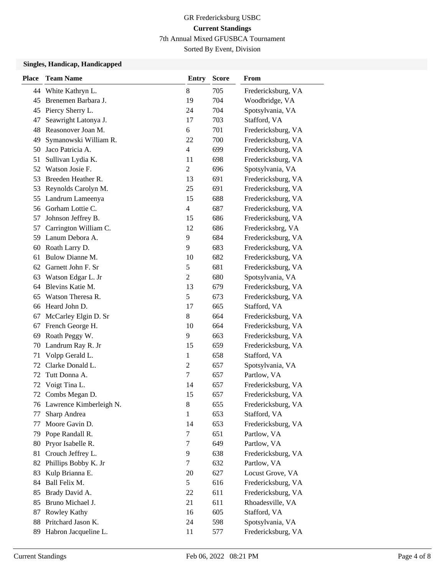7th Annual Mixed GFUSBCA Tournament

Sorted By Event, Division

#### **Singles, Handicap, Handicapped**

| <b>Place</b> | <b>Team Name</b>           | <b>Entry</b>     | <b>Score</b> | From               |
|--------------|----------------------------|------------------|--------------|--------------------|
|              | 44 White Kathryn L.        | 8                | 705          | Fredericksburg, VA |
| 45           | Brenemen Barbara J.        | 19               | 704          | Woodbridge, VA     |
| 45           | Piercy Sherry L.           | 24               | 704          | Spotsylvania, VA   |
| 47           | Seawright Latonya J.       | 17               | 703          | Stafford, VA       |
| 48           | Reasonover Joan M.         | 6                | 701          | Fredericksburg, VA |
| 49           | Symanowski William R.      | 22               | 700          | Fredericksburg, VA |
| 50           | Jaco Patricia A.           | 4                | 699          | Fredericksburg, VA |
| 51           | Sullivan Lydia K.          | 11               | 698          | Fredericksburg, VA |
| 52           | Watson Josie F.            | $\overline{c}$   | 696          | Spotsylvania, VA   |
| 53           | Breeden Heather R.         | 13               | 691          | Fredericksburg, VA |
| 53           | Reynolds Carolyn M.        | 25               | 691          | Fredericksburg, VA |
| 55           | Landrum Lameenya           | 15               | 688          | Fredericksburg, VA |
| 56           | Gorham Lottie C.           | 4                | 687          | Fredericksburg, VA |
| 57           | Johnson Jeffrey B.         | 15               | 686          | Fredericksburg, VA |
| 57           | Carrington William C.      | 12               | 686          | Fredericksbrg, VA  |
| 59           | Lanum Debora A.            | 9                | 684          | Fredericksburg, VA |
| 60           | Roath Larry D.             | 9                | 683          | Fredericksburg, VA |
| 61           | Bulow Dianne M.            | 10               | 682          | Fredericksburg, VA |
| 62           | Garnett John F. Sr         | 5                | 681          | Fredericksburg, VA |
| 63           | Watson Edgar L. Jr         | $\overline{2}$   | 680          | Spotsylvania, VA   |
| 64           | Blevins Katie M.           | 13               | 679          | Fredericksburg, VA |
| 65           | Watson Theresa R.          | 5                | 673          | Fredericksburg, VA |
| 66           | Heard John D.              | 17               | 665          | Stafford, VA       |
| 67           | McCarley Elgin D. Sr       | 8                | 664          | Fredericksburg, VA |
| 67           | French George H.           | 10               | 664          | Fredericksburg, VA |
| 69           | Roath Peggy W.             | 9                | 663          | Fredericksburg, VA |
| 70           | Landrum Ray R. Jr          | 15               | 659          | Fredericksburg, VA |
| 71           | Volpp Gerald L.            | $\mathbf{1}$     | 658          | Stafford, VA       |
| 72           | Clarke Donald L.           | $\overline{c}$   | 657          | Spotsylvania, VA   |
| 72           | Tutt Donna A.              | $\boldsymbol{7}$ | 657          | Partlow, VA        |
| 72           | Voigt Tina L.              | 14               | 657          | Fredericksburg, VA |
| 72           | Combs Megan D.             | 15               | 657          | Fredericksburg, VA |
|              | 76 Lawrence Kimberleigh N. | 8                | 655          | Fredericksburg, VA |
| 77           | Sharp Andrea               | $\mathbf{1}$     | 653          | Stafford, VA       |
| 77           | Moore Gavin D.             | 14               | 653          | Fredericksburg, VA |
| 79           | Pope Randall R.            | 7                | 651          | Partlow, VA        |
| 80           | Pryor Isabelle R.          | 7                | 649          | Partlow, VA        |
| 81           | Crouch Jeffrey L.          | 9                | 638          | Fredericksburg, VA |
| 82           | Phillips Bobby K. Jr       | 7                | 632          | Partlow, VA        |
| 83           | Kulp Brianna E.            | 20               | 627          | Locust Grove, VA   |
| 84           | Ball Felix M.              | 5                | 616          | Fredericksburg, VA |
| 85           | Brady David A.             | 22               | 611          | Fredericksburg, VA |
| 85           | Bruno Michael J.           | 21               | 611          | Rhoadesville, VA   |
| 87           | Rowley Kathy               | 16               | 605          | Stafford, VA       |
| 88           | Pritchard Jason K.         | 24               | 598          | Spotsylvania, VA   |
| 89           | Habron Jacqueline L.       | 11               | 577          | Fredericksburg, VA |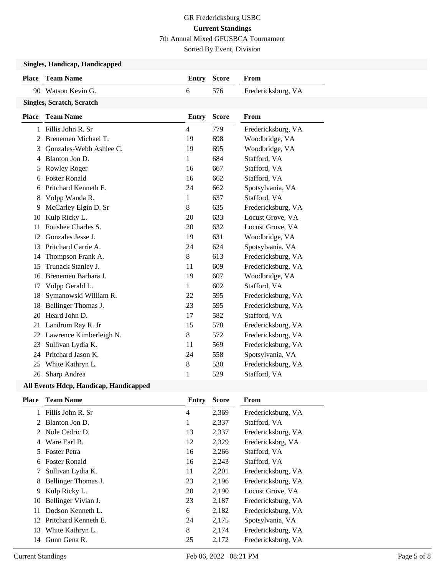7th Annual Mixed GFUSBCA Tournament

Sorted By Event, Division

## **Singles, Handicap, Handicapped**

|              | эшдісэ, папинар, папинаррси      |                |              |                    |
|--------------|----------------------------------|----------------|--------------|--------------------|
| <b>Place</b> | <b>Team Name</b>                 | <b>Entry</b>   | <b>Score</b> | From               |
|              | 90 Watson Kevin G.               | 6              | 576          | Fredericksburg, VA |
|              | <b>Singles, Scratch, Scratch</b> |                |              |                    |
| <b>Place</b> | <b>Team Name</b>                 | <b>Entry</b>   | <b>Score</b> | From               |
| 1            | Fillis John R. Sr                | $\overline{4}$ | 779          | Fredericksburg, VA |
| 2            | Brenemen Michael T.              | 19             | 698          | Woodbridge, VA     |
| 3            | Gonzales-Webb Ashlee C.          | 19             | 695          | Woodbridge, VA     |
| 4            | Blanton Jon D.                   | 1              | 684          | Stafford, VA       |
| 5            | Rowley Roger                     | 16             | 667          | Stafford, VA       |
| 6            | <b>Foster Ronald</b>             | 16             | 662          | Stafford, VA       |
| 6            | Pritchard Kenneth E.             | 24             | 662          | Spotsylvania, VA   |
| 8            | Volpp Wanda R.                   | $\mathbf{1}$   | 637          | Stafford, VA       |
| 9            | McCarley Elgin D. Sr             | 8              | 635          | Fredericksburg, VA |
| 10           | Kulp Ricky L.                    | 20             | 633          | Locust Grove, VA   |
| 11           | Foushee Charles S.               | 20             | 632          | Locust Grove, VA   |
| 12           | Gonzales Jesse J.                | 19             | 631          | Woodbridge, VA     |
| 13           | Pritchard Carrie A.              | 24             | 624          | Spotsylvania, VA   |
| 14           | Thompson Frank A.                | 8              | 613          | Fredericksburg, VA |
| 15           | Trunack Stanley J.               | 11             | 609          | Fredericksburg, VA |
| 16           | Brenemen Barbara J.              | 19             | 607          | Woodbridge, VA     |
| 17           | Volpp Gerald L.                  | $\mathbf{1}$   | 602          | Stafford, VA       |
| 18           | Symanowski William R.            | 22             | 595          | Fredericksburg, VA |
| 18           | Bellinger Thomas J.              | 23             | 595          | Fredericksburg, VA |
| 20           | Heard John D.                    | 17             | 582          | Stafford, VA       |
| 21           | Landrum Ray R. Jr                | 15             | 578          | Fredericksburg, VA |
| 22           | Lawrence Kimberleigh N.          | 8              | 572          | Fredericksburg, VA |
| 23           | Sullivan Lydia K.                | 11             | 569          | Fredericksburg, VA |
| 24           | Pritchard Jason K.               | 24             | 558          | Spotsylvania, VA   |
| 25           | White Kathryn L.                 | $8\,$          | 530          | Fredericksburg, VA |
| 26           | Sharp Andrea                     | 1              | 529          | Stafford, VA       |

### **All Events Hdcp, Handicap, Handicapped**

| <b>Team Name</b>           | Entry          | <b>Score</b> | From               |
|----------------------------|----------------|--------------|--------------------|
| Fillis John R. Sr          | $\overline{4}$ | 2,369        | Fredericksburg, VA |
| Blanton Jon D.<br>2        | 1              | 2,337        | Stafford, VA       |
| Nole Cedric D.<br>2        | 13             | 2,337        | Fredericksburg, VA |
| Ware Earl B.               | 12             | 2,329        | Fredericksbrg, VA  |
| <b>Foster Petra</b>        | 16             | 2,266        | Stafford, VA       |
| <b>Foster Ronald</b><br>6. | 16             | 2,243        | Stafford, VA       |
| Sullivan Lydia K.          | 11             | 2,201        | Fredericksburg, VA |
| Bellinger Thomas J.        | 23             | 2,196        | Fredericksburg, VA |
| Kulp Ricky L.              | 20             | 2,190        | Locust Grove, VA   |
| Bellinger Vivian J.        | 23             | 2,187        | Fredericksburg, VA |
| Dodson Kenneth L.          | 6              | 2,182        | Fredericksburg, VA |
| 12 Pritchard Kenneth E.    | 24             | 2,175        | Spotsylvania, VA   |
| 13 White Kathryn L.        | 8              | 2,174        | Fredericksburg, VA |
| Gunn Gena R.               | 25             | 2,172        | Fredericksburg, VA |
|                            |                |              |                    |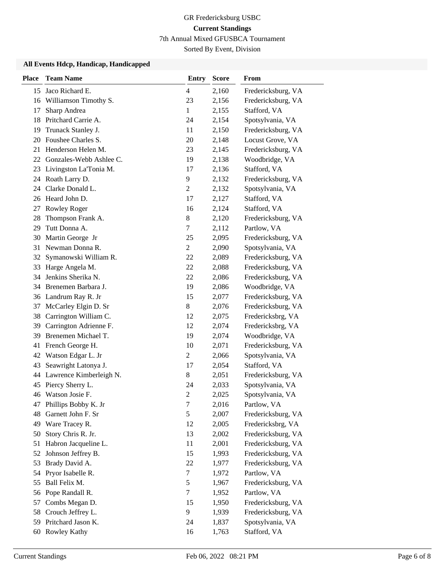7th Annual Mixed GFUSBCA Tournament

Sorted By Event, Division

#### **All Events Hdcp, Handicap, Handicapped**

| <b>Place</b> | <b>Team Name</b>        | <b>Entry</b>   | <b>Score</b> | From               |
|--------------|-------------------------|----------------|--------------|--------------------|
| 15           | Jaco Richard E.         | 4              | 2,160        | Fredericksburg, VA |
| 16           | Williamson Timothy S.   | 23             | 2,156        | Fredericksburg, VA |
| 17           | Sharp Andrea            | $\mathbf{1}$   | 2,155        | Stafford, VA       |
| 18           | Pritchard Carrie A.     | 24             | 2,154        | Spotsylvania, VA   |
| 19           | Trunack Stanley J.      | 11             | 2,150        | Fredericksburg, VA |
| 20           | Foushee Charles S.      | 20             | 2,148        | Locust Grove, VA   |
| 21           | Henderson Helen M.      | 23             | 2,145        | Fredericksburg, VA |
| 22           | Gonzales-Webb Ashlee C. | 19             | 2,138        | Woodbridge, VA     |
| 23           | Livingston La'Tonia M.  | 17             | 2,136        | Stafford, VA       |
|              | 24 Roath Larry D.       | 9              | 2,132        | Fredericksburg, VA |
| 24           | Clarke Donald L.        | 2              | 2,132        | Spotsylvania, VA   |
|              | 26 Heard John D.        | 17             | 2,127        | Stafford, VA       |
| 27           | Rowley Roger            | 16             | 2,124        | Stafford, VA       |
| 28           | Thompson Frank A.       | $8\,$          | 2,120        | Fredericksburg, VA |
| 29           | Tutt Donna A.           | 7              | 2,112        | Partlow, VA        |
| 30           | Martin George Jr        | 25             | 2,095        | Fredericksburg, VA |
| 31           | Newman Donna R.         | 2              | 2,090        | Spotsylvania, VA   |
| 32           | Symanowski William R.   | 22             | 2,089        | Fredericksburg, VA |
| 33           | Harge Angela M.         | 22             | 2,088        | Fredericksburg, VA |
| 34           | Jenkins Sherika N.      | 22             | 2,086        | Fredericksburg, VA |
|              | 34 Brenemen Barbara J.  | 19             | 2,086        | Woodbridge, VA     |
|              | 36 Landrum Ray R. Jr    | 15             | 2,077        | Fredericksburg, VA |
| 37           | McCarley Elgin D. Sr    | $8\,$          | 2,076        | Fredericksburg, VA |
| 38           | Carrington William C.   | 12             | 2,075        | Fredericksbrg, VA  |
| 39           | Carrington Adrienne F.  | 12             | 2,074        | Fredericksbrg, VA  |
| 39           | Brenemen Michael T.     | 19             | 2,074        | Woodbridge, VA     |
| 41           | French George H.        | 10             | 2,071        | Fredericksburg, VA |
|              | 42 Watson Edgar L. Jr   | $\overline{c}$ | 2,066        | Spotsylvania, VA   |
| 43           | Seawright Latonya J.    | 17             | 2,054        | Stafford, VA       |
| 44           | Lawrence Kimberleigh N. | 8              | 2,051        | Fredericksburg, VA |
|              | 45 Piercy Sherry L.     | 24             | 2,033        | Spotsylvania, VA   |
|              | 46 Watson Josie F.      | $\overline{c}$ | 2,025        | Spotsylvania, VA   |
|              | 47 Phillips Bobby K. Jr | 7              | 2,016        | Partlow, VA        |
| 48           | Garnett John F. Sr      | 5              | 2,007        | Fredericksburg, VA |
| 49           | Ware Tracey R.          | 12             | 2,005        | Fredericksbrg, VA  |
| 50           | Story Chris R. Jr.      | 13             | 2,002        | Fredericksburg, VA |
| 51           | Habron Jacqueline L.    | 11             | 2,001        | Fredericksburg, VA |
| 52           | Johnson Jeffrey B.      | 15             | 1,993        | Fredericksburg, VA |
| 53           | Brady David A.          | 22             | 1,977        | Fredericksburg, VA |
| 54           | Pryor Isabelle R.       | 7              | 1,972        | Partlow, VA        |
| 55           | Ball Felix M.           | 5              | 1,967        | Fredericksburg, VA |
| 56           | Pope Randall R.         | 7              | 1,952        | Partlow, VA        |
| 57           | Combs Megan D.          | 15             | 1,950        | Fredericksburg, VA |
| 58           | Crouch Jeffrey L.       | 9              | 1,939        | Fredericksburg, VA |
| 59           | Pritchard Jason K.      | 24             | 1,837        | Spotsylvania, VA   |
|              | 60 Rowley Kathy         | 16             | 1,763        | Stafford, VA       |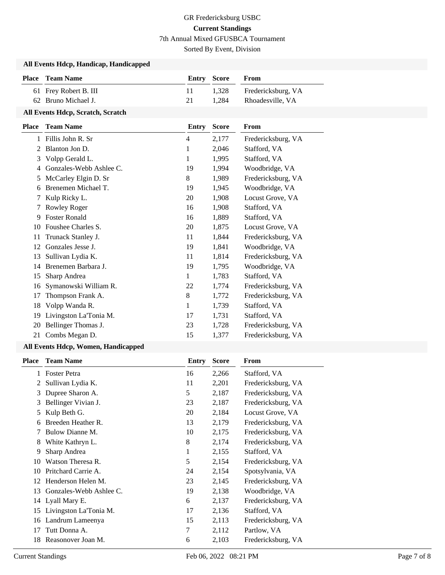## GR Fredericksburg USBC **Current Standings** 7th Annual Mixed GFUSBCA Tournament

Sorted By Event, Division

#### **All Events Hdcp, Handicap, Handicapped**

| <b>Place</b> Team Name | Entry Score | <b>From</b>              |
|------------------------|-------------|--------------------------|
| 61 Frey Robert B. III  |             | 1,328 Fredericksburg, VA |
| 62 Bruno Michael J.    | 21          | 1,284 Rhoadesville, VA   |

### **All Events Hdcp, Scratch, Scratch**

| Place | <b>Team Name</b>        | Entry | <b>Score</b> | From               |
|-------|-------------------------|-------|--------------|--------------------|
| 1     | Fillis John R. Sr       | 4     | 2,177        | Fredericksburg, VA |
| 2     | Blanton Jon D.          | 1     | 2,046        | Stafford, VA       |
| 3     | Volpp Gerald L.         | 1     | 1,995        | Stafford, VA       |
| 4     | Gonzales-Webb Ashlee C. | 19    | 1,994        | Woodbridge, VA     |
| 5     | McCarley Elgin D. Sr    | 8     | 1,989        | Fredericksburg, VA |
| 6     | Brenemen Michael T.     | 19    | 1,945        | Woodbridge, VA     |
|       | Kulp Ricky L.           | 20    | 1,908        | Locust Grove, VA   |
|       | <b>Rowley Roger</b>     | 16    | 1,908        | Stafford, VA       |
| 9     | <b>Foster Ronald</b>    | 16    | 1,889        | Stafford, VA       |
| 10    | Foushee Charles S.      | 20    | 1,875        | Locust Grove, VA   |
| 11    | Trunack Stanley J.      | 11    | 1,844        | Fredericksburg, VA |
| 12    | Gonzales Jesse J.       | 19    | 1,841        | Woodbridge, VA     |
| 13    | Sullivan Lydia K.       | 11    | 1,814        | Fredericksburg, VA |
| 14    | Brenemen Barbara J.     | 19    | 1,795        | Woodbridge, VA     |
| 15    | Sharp Andrea            | 1     | 1,783        | Stafford, VA       |
| 16    | Symanowski William R.   | 22    | 1,774        | Fredericksburg, VA |
| 17    | Thompson Frank A.       | 8     | 1,772        | Fredericksburg, VA |
| 18    | Volpp Wanda R.          | 1     | 1,739        | Stafford, VA       |
| 19    | Livingston La'Tonia M.  | 17    | 1,731        | Stafford, VA       |
| 20    | Bellinger Thomas J.     | 23    | 1,728        | Fredericksburg, VA |
| 21    | Combs Megan D.          | 15    | 1,377        | Fredericksburg, VA |
|       |                         |       |              |                    |

#### **All Events Hdcp, Women, Handicapped**

| <b>Place</b> | <b>Team Name</b>        | Entry | <b>Score</b> | From               |
|--------------|-------------------------|-------|--------------|--------------------|
| 1            | <b>Foster Petra</b>     | 16    | 2,266        | Stafford, VA       |
| 2            | Sullivan Lydia K.       | 11    | 2,201        | Fredericksburg, VA |
| 3            | Dupree Sharon A.        | 5     | 2,187        | Fredericksburg, VA |
| 3            | Bellinger Vivian J.     | 23    | 2,187        | Fredericksburg, VA |
| 5            | Kulp Beth G.            | 20    | 2,184        | Locust Grove, VA   |
| 6            | Breeden Heather R.      | 13    | 2,179        | Fredericksburg, VA |
|              | Bulow Dianne M.         | 10    | 2,175        | Fredericksburg, VA |
| 8            | White Kathryn L.        | 8     | 2,174        | Fredericksburg, VA |
| 9            | Sharp Andrea            | 1     | 2,155        | Stafford, VA       |
| 10           | Watson Theresa R.       | 5     | 2,154        | Fredericksburg, VA |
| 10           | Pritchard Carrie A.     | 24    | 2,154        | Spotsylvania, VA   |
| 12           | Henderson Helen M.      | 23    | 2,145        | Fredericksburg, VA |
| 13           | Gonzales-Webb Ashlee C. | 19    | 2,138        | Woodbridge, VA     |
|              | 14 Lyall Mary E.        | 6     | 2,137        | Fredericksburg, VA |
| 15           | Livingston La'Tonia M.  | 17    | 2,136        | Stafford, VA       |
| 16           | Landrum Lameenya        | 15    | 2,113        | Fredericksburg, VA |
| 17           | Tutt Donna A.           | 7     | 2,112        | Partlow, VA        |
| 18           | Reasonover Joan M.      | 6     | 2,103        | Fredericksburg, VA |